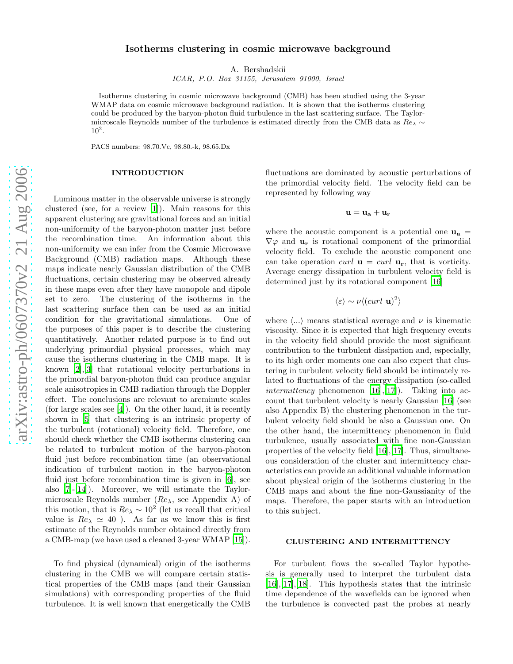# Isotherms clustering in cosmic microwave background

A. Bershadskii

ICAR, P.O. Box 31155, Jerusalem 91000, Israel

Isotherms clustering in cosmic microwave background (CMB) has been studied using the 3-year WMAP data on cosmic microwave background radiation. It is shown that the isotherms clustering could be produced by the baryon-photon fluid turbulence in the last scattering surface. The Taylormicroscale Reynolds number of the turbulence is estimated directly from the CMB data as  $Re_\lambda \sim$  $10^2$ .

PACS numbers: 98.70.Vc, 98.80.-k, 98.65.Dx

### INTRODUCTION

Luminous matter in the observable universe is strongly clustered (see, for a review [\[1\]](#page-4-0)). Main reasons for this apparent clustering are gravitational forces and an initial non-uniformity of the baryon-photon matter just before the recombination time. An information about this non-uniformity we can infer from the Cosmic Microwave Background (CMB) radiation maps. Although these maps indicate nearly Gaussian distribution of the CMB fluctuations, certain clustering may be observed already in these maps even after they have monopole and dipole set to zero. The clustering of the isotherms in the last scattering surface then can be used as an initial condition for the gravitational simulations. One of the purposes of this paper is to describe the clustering quantitatively. Another related purpose is to find out underlying primordial physical processes, which may cause the isotherms clustering in the CMB maps. It is known [\[2](#page-4-1)],[\[3](#page-4-2)] that rotational velocity perturbations in the primordial baryon-photon fluid can produce angular scale anisotropies in CMB radiation through the Doppler effect. The conclusions are relevant to arcminute scales (for large scales see [\[4\]](#page-4-3)). On the other hand, it is recently shown in [\[5](#page-4-4)] that clustering is an intrinsic property of the turbulent (rotational) velocity field. Therefore, one should check whether the CMB isotherms clustering can be related to turbulent motion of the baryon-photon fluid just before recombination time (an observational indication of turbulent motion in the baryon-photon fluid just before recombination time is given in [\[6](#page-4-5)], see also [\[7\]](#page-4-6)-[\[14](#page-4-7)]). Moreover, we will estimate the Taylormicroscale Reynolds number  $(Re<sub>\lambda</sub>)$ , see Appendix A) of this motion, that is  $Re_\lambda \sim 10^2$  (let us recall that critical value is  $Re_{\lambda} \simeq 40$  ). As far as we know this is first estimate of the Reynolds number obtained directly from a CMB-map (we have used a cleaned 3-year WMAP [\[15\]](#page-4-8)).

To find physical (dynamical) origin of the isotherms clustering in the CMB we will compare certain statistical properties of the CMB maps (and their Gaussian simulations) with corresponding properties of the fluid turbulence. It is well known that energetically the CMB

fluctuations are dominated by acoustic perturbations of the primordial velocity field. The velocity field can be represented by following way

$$
\mathbf{u} = \mathbf{u_a} + \mathbf{u_r}
$$

where the acoustic component is a potential one  $\mathbf{u}_a =$  $\nabla\varphi$  and  $\mathbf{u}_r$  is rotational component of the primordial velocity field. To exclude the acoustic component one can take operation *curl*  $\mathbf{u} = \text{curl } \mathbf{u}_r$ , that is vorticity. Average energy dissipation in turbulent velocity field is determined just by its rotational component [\[16](#page-4-9)]

$$
\langle \varepsilon \rangle \sim \nu \langle (curl \mathbf{u})^2 \rangle
$$

where  $\langle \ldots \rangle$  means statistical average and  $\nu$  is kinematic viscosity. Since it is expected that high frequency events in the velocity field should provide the most significant contribution to the turbulent dissipation and, especially, to its high order moments one can also expect that clustering in turbulent velocity field should be intimately related to fluctuations of the energy dissipation (so-called *intermittency* phenomenon  $[16],[17]$  $[16],[17]$ . Taking into account that turbulent velocity is nearly Gaussian [\[16\]](#page-4-9) (see also Appendix B) the clustering phenomenon in the turbulent velocity field should be also a Gaussian one. On the other hand, the intermittency phenomenon in fluid turbulence, usually associated with fine non-Gaussian properties of the velocity field [\[16](#page-4-9)],[\[17\]](#page-4-10). Thus, simultaneous consideration of the cluster and intermittency characteristics can provide an additional valuable information about physical origin of the isotherms clustering in the CMB maps and about the fine non-Gaussianity of the maps. Therefore, the paper starts with an introduction to this subject.

## CLUSTERING AND INTERMITTENCY

For turbulent flows the so-called Taylor hypothesis is generally used to interpret the turbulent data [\[16\]](#page-4-9),[\[17\]](#page-4-10),[\[18](#page-4-11)]. This hypothesis states that the intrinsic time dependence of the wavefields can be ignored when the turbulence is convected past the probes at nearly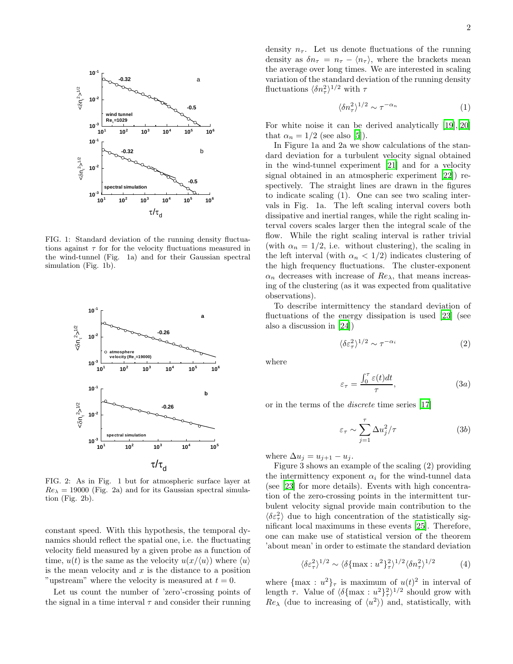

FIG. 1: Standard deviation of the running density fluctuations against  $\tau$  for the velocity fluctuations measured in the wind-tunnel (Fig. 1a) and for their Gaussian spectral simulation (Fig. 1b).



FIG. 2: As in Fig. 1 but for atmospheric surface layer at  $Re_{\lambda} = 19000$  (Fig. 2a) and for its Gaussian spectral simulation (Fig. 2b).

constant speed. With this hypothesis, the temporal dynamics should reflect the spatial one, i.e. the fluctuating velocity field measured by a given probe as a function of time,  $u(t)$  is the same as the velocity  $u(x/\langle u \rangle)$  where  $\langle u \rangle$ is the mean velocity and  $x$  is the distance to a position "upstream" where the velocity is measured at  $t = 0$ .

Let us count the number of 'zero'-crossing points of the signal in a time interval  $\tau$  and consider their running

density  $n_{\tau}$ . Let us denote fluctuations of the running density as  $\delta n_{\tau} = n_{\tau} - \langle n_{\tau} \rangle$ , where the brackets mean the average over long times. We are interested in scaling variation of the standard deviation of the running density fluctuations  $\langle \delta n_\tau^2 \rangle^{1/2}$  with  $\tau$ 

$$
\langle \delta n_\tau^2 \rangle^{1/2} \sim \tau^{-\alpha_n} \tag{1}
$$

For white noise it can be derived analytically [\[19](#page-4-12)],[\[20](#page-4-13)] that  $\alpha_n = 1/2$  (see also [\[5\]](#page-4-4)).

In Figure 1a and 2a we show calculations of the standard deviation for a turbulent velocity signal obtained in the wind-tunnel experiment [\[21\]](#page-4-14) and for a velocity signal obtained in an atmospheric experiment [\[22](#page-4-15)]) respectively. The straight lines are drawn in the figures to indicate scaling (1). One can see two scaling intervals in Fig. 1a. The left scaling interval covers both dissipative and inertial ranges, while the right scaling interval covers scales larger then the integral scale of the flow. While the right scaling interval is rather trivial (with  $\alpha_n = 1/2$ , i.e. without clustering), the scaling in the left interval (with  $\alpha_n < 1/2$ ) indicates clustering of the high frequency fluctuations. The cluster-exponent  $\alpha_n$  decreases with increase of  $Re_\lambda$ , that means increasing of the clustering (as it was expected from qualitative observations).

To describe intermittency the standard deviation of fluctuations of the energy dissipation is used [\[23\]](#page-4-16) (see also a discussion in [\[24](#page-4-17)])

$$
\langle \delta \varepsilon_{\tau}^2 \rangle^{1/2} \sim \tau^{-\alpha_i} \tag{2}
$$

where

$$
\varepsilon_{\tau} = \frac{\int_0^{\tau} \varepsilon(t)dt}{\tau},\tag{3a}
$$

or in the terms of the discrete time series [\[17\]](#page-4-10)

$$
\varepsilon_{\tau} \sim \sum_{j=1}^{\tau} \Delta u_j^2 / \tau \tag{3b}
$$

where  $\Delta u_j = u_{j+1} - u_j$ .

Figure 3 shows an example of the scaling (2) providing the intermittency exponent  $\alpha_i$  for the wind-tunnel data (see [\[23](#page-4-16)] for more details). Events with high concentration of the zero-crossing points in the intermittent turbulent velocity signal provide main contribution to the  $\langle\delta\varepsilon_{\tau}^2\rangle$  due to high concentration of the statistically significant local maximums in these events [\[25](#page-4-18)]. Therefore, one can make use of statistical version of the theorem 'about mean' in order to estimate the standard deviation

$$
\langle \delta \varepsilon_{\tau}^2 \rangle^{1/2} \sim \langle \delta \{ \max : u^2 \}_{\tau}^2 \rangle^{1/2} \langle \delta n_{\tau}^2 \rangle^{1/2} \tag{4}
$$

where  $\{\max : u^2\}_{\tau}$  is maximum of  $u(t)^2$  in interval of length  $\tau$ . Value of  $\langle \delta{\max : u^2} \}^2_{\tau} \rangle^{1/2}$  should grow with  $Re_\lambda$  (due to increasing of  $\langle u^2 \rangle$ ) and, statistically, with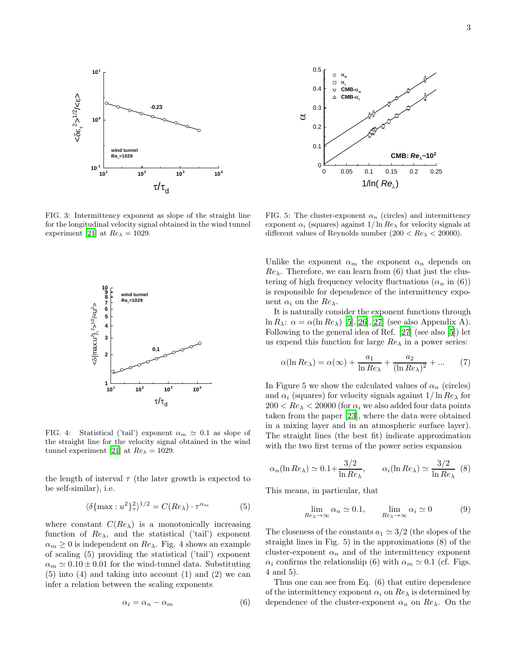

FIG. 3: Intermittency exponent as slope of the straight line for the longitudinal velocity signal obtained in the wind tunnel experiment [\[21\]](#page-4-14) at  $Re_{\lambda} = 1029$ .



FIG. 4: Statistical ('tail') exponent  $\alpha_m \simeq 0.1$  as slope of the straight line for the velocity signal obtained in the wind tunnel experiment [\[21](#page-4-14)] at  $Re_{\lambda} = 1029$ .

the length of interval  $\tau$  (the later growth is expected to be self-similar), i.e.

$$
\langle \delta \{ \max : u^2 \}_\tau^2 \rangle^{1/2} = C(Re_\lambda) \cdot \tau^{\alpha_m} \tag{5}
$$

where constant  $C(Re_{\lambda})$  is a monotonically increasing function of  $Re_{\lambda}$ , and the statistical ('tail') exponent  $\alpha_m \geq 0$  is independent on  $Re_\lambda$ . Fig. 4 shows an example of scaling (5) providing the statistical ('tail') exponent  $\alpha_m \simeq 0.10 \pm 0.01$  for the wind-tunnel data. Substituting (5) into (4) and taking into account (1) and (2) we can infer a relation between the scaling exponents

$$
\alpha_i = \alpha_n - \alpha_m \tag{6}
$$



FIG. 5: The cluster-exponent  $\alpha_n$  (circles) and intermittency exponent  $\alpha_i$  (squares) against  $1/\ln Re_\lambda$  for velocity signals at different values of Reynolds number  $(200 < Re_\lambda < 20000)$ .

Unlike the exponent  $\alpha_m$  the exponent  $\alpha_n$  depends on  $Re_\lambda$ . Therefore, we can learn from (6) that just the clustering of high frequency velocity fluctuations  $(\alpha_n$  in (6)) is responsible for dependence of the intermittency exponent  $\alpha_i$  on the  $Re_\lambda$ .

It is naturally consider the exponent functions through ln  $R_{\lambda}$ :  $\alpha = \alpha(\ln Re_{\lambda})$  [\[5\]](#page-4-4),[\[26\]](#page-5-0),[\[27](#page-5-1)] (see also Appendix A). Following to the general idea of Ref. [\[27](#page-5-1)] (see also [\[5\]](#page-4-4)) let us expend this function for large  $Re_{\lambda}$  in a power series:

$$
\alpha(\ln Re_{\lambda}) = \alpha(\infty) + \frac{a_1}{\ln Re_{\lambda}} + \frac{a_2}{(\ln Re_{\lambda})^2} + \dots \qquad (7)
$$

In Figure 5 we show the calculated values of  $\alpha_n$  (circles) and  $\alpha_i$  (squares) for velocity signals against  $1/\ln Re_\lambda$  for  $200 < Re_{\lambda} < 20000$  (for  $\alpha_i$  we also added four data points taken from the paper [\[23\]](#page-4-16), where the data were obtained in a mixing layer and in an atmospheric surface layer). The straight lines (the best fit) indicate approximation with the two first terms of the power series expansion

$$
\alpha_n(\ln Re_\lambda) \simeq 0.1 + \frac{3/2}{\ln Re_\lambda}, \qquad \alpha_i(\ln Re_\lambda) \simeq \frac{3/2}{\ln Re_\lambda}
$$
 (8)

This means, in particular, that

$$
\lim_{Re_{\lambda} \to \infty} \alpha_n \simeq 0.1, \qquad \lim_{Re_{\lambda} \to \infty} \alpha_i \simeq 0 \tag{9}
$$

The closeness of the constants  $a_1 \approx 3/2$  (the slopes of the straight lines in Fig. 5) in the approximations (8) of the cluster-exponent  $\alpha_n$  and of the intermittency exponent  $\alpha_i$  confirms the relationship (6) with  $\alpha_m \simeq 0.1$  (cf. Figs. 4 and 5).

Thus one can see from Eq. (6) that entire dependence of the intermittency exponent  $\alpha_i$  on  $Re_\lambda$  is determined by dependence of the cluster-exponent  $\alpha_n$  on  $Re_\lambda$ . On the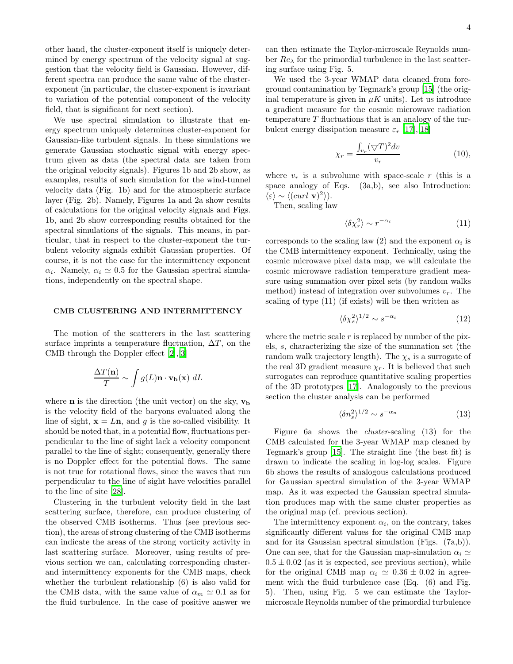other hand, the cluster-exponent itself is uniquely determined by energy spectrum of the velocity signal at suggestion that the velocity field is Gaussian. However, different spectra can produce the same value of the clusterexponent (in particular, the cluster-exponent is invariant to variation of the potential component of the velocity field, that is significant for next section).

We use spectral simulation to illustrate that energy spectrum uniquely determines cluster-exponent for Gaussian-like turbulent signals. In these simulations we generate Gaussian stochastic signal with energy spectrum given as data (the spectral data are taken from the original velocity signals). Figures 1b and 2b show, as examples, results of such simulation for the wind-tunnel velocity data (Fig. 1b) and for the atmospheric surface layer (Fig. 2b). Namely, Figures 1a and 2a show results of calculations for the original velocity signals and Figs. 1b, and 2b show corresponding results obtained for the spectral simulations of the signals. This means, in particular, that in respect to the cluster-exponent the turbulent velocity signals exhibit Gaussian properties. Of course, it is not the case for the intermittency exponent  $\alpha_i$ . Namely,  $\alpha_i \simeq 0.5$  for the Gaussian spectral simulations, independently on the spectral shape.

# CMB CLUSTERING AND INTERMITTENCY

The motion of the scatterers in the last scattering surface imprints a temperature fluctuation,  $\Delta T$ , on the CMB through the Doppler effect [\[2\]](#page-4-1),[\[3\]](#page-4-2)

$$
\frac{\Delta T(\mathbf{n})}{T} \sim \int g(L)\mathbf{n} \cdot \mathbf{v_b}(\mathbf{x}) \ dL
$$

where **n** is the direction (the unit vector) on the sky,  $v<sub>b</sub>$ is the velocity field of the baryons evaluated along the line of sight,  $\mathbf{x} = L\mathbf{n}$ , and g is the so-called visibility. It should be noted that, in a potential flow, fluctuations perpendicular to the line of sight lack a velocity component parallel to the line of sight; consequently, generally there is no Doppler effect for the potential flows. The same is not true for rotational flows, since the waves that run perpendicular to the line of sight have velocities parallel to the line of site [\[28\]](#page-5-2).

Clustering in the turbulent velocity field in the last scattering surface, therefore, can produce clustering of the observed CMB isotherms. Thus (see previous section), the areas of strong clustering of the CMB isotherms can indicate the areas of the strong vorticity activity in last scattering surface. Moreover, using results of previous section we can, calculating corresponding clusterand intermittency exponents for the CMB maps, check whether the turbulent relationship (6) is also valid for the CMB data, with the same value of  $\alpha_m \simeq 0.1$  as for the fluid turbulence. In the case of positive answer we

can then estimate the Taylor-microscale Reynolds number  $Re_\lambda$  for the primordial turbulence in the last scattering surface using Fig. 5.

We used the 3-year WMAP data cleaned from foreground contamination by Tegmark's group [\[15](#page-4-8)] (the original temperature is given in  $\mu K$  units). Let us introduce a gradient measure for the cosmic microwave radiation temperature  $T$  fluctuations that is an analogy of the turbulent energy dissipation measure  $\varepsilon_r$  [\[17\]](#page-4-10),[\[18\]](#page-4-11)

$$
\chi_r = \frac{\int_{v_r} (\nabla T)^2 dv}{v_r} \tag{10}
$$

where  $v_r$  is a subvolume with space-scale r (this is a space analogy of Eqs. (3a,b), see also Introduction:  $\langle \varepsilon \rangle \sim \langle (curl \mathbf{v})^2 \rangle$ .

Then, scaling law

$$
\langle \delta \chi_r^2 \rangle \sim r^{-\alpha_i} \tag{11}
$$

corresponds to the scaling law (2) and the exponent  $\alpha_i$  is the CMB intermittency exponent. Technically, using the cosmic microwave pixel data map, we will calculate the cosmic microwave radiation temperature gradient measure using summation over pixel sets (by random walks method) instead of integration over subvolumes  $v_r$ . The scaling of type (11) (if exists) will be then written as

$$
\langle \delta \chi_s^2 \rangle^{1/2} \sim s^{-\alpha_i} \tag{12}
$$

where the metric scale  $r$  is replaced by number of the pixels, s, characterizing the size of the summation set (the random walk trajectory length). The  $\chi_s$  is a surrogate of the real 3D gradient measure  $\chi_r$ . It is believed that such surrogates can reproduce quantitative scaling properties of the 3D prototypes [\[17](#page-4-10)]. Analogously to the previous section the cluster analysis can be performed

$$
\langle \delta n_s^2 \rangle^{1/2} \sim s^{-\alpha_n} \tag{13}
$$

Figure 6a shows the cluster-scaling (13) for the CMB calculated for the 3-year WMAP map cleaned by Tegmark's group [\[15\]](#page-4-8). The straight line (the best fit) is drawn to indicate the scaling in log-log scales. Figure 6b shows the results of analogous calculations produced for Gaussian spectral simulation of the 3-year WMAP map. As it was expected the Gaussian spectral simulation produces map with the same cluster properties as the original map (cf. previous section).

The intermittency exponent  $\alpha_i$ , on the contrary, takes significantly different values for the original CMB map and for its Gaussian spectral simulation (Figs. (7a,b)). One can see, that for the Gaussian map-simulation  $\alpha_i \simeq$  $0.5 \pm 0.02$  (as it is expected, see previous section), while for the original CMB map  $\alpha_i \simeq 0.36 \pm 0.02$  in agreement with the fluid turbulence case (Eq. (6) and Fig. 5). Then, using Fig. 5 we can estimate the Taylormicroscale Reynolds number of the primordial turbulence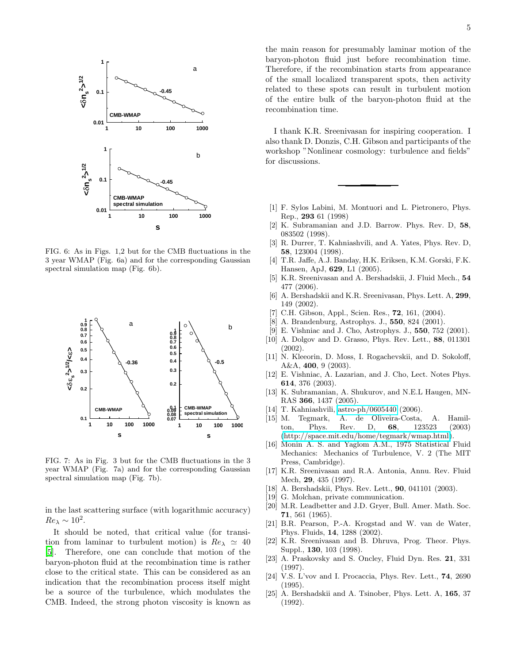

FIG. 6: As in Figs. 1,2 but for the CMB fluctuations in the 3 year WMAP (Fig. 6a) and for the corresponding Gaussian spectral simulation map (Fig. 6b).



FIG. 7: As in Fig. 3 but for the CMB fluctuations in the 3 year WMAP (Fig. 7a) and for the corresponding Gaussian spectral simulation map (Fig. 7b).

in the last scattering surface (with logarithmic accuracy)  $Re_\lambda \sim 10^2$ .

It should be noted, that critical value (for transition from laminar to turbulent motion) is  $Re_\lambda \simeq 40$ [\[5\]](#page-4-4). Therefore, one can conclude that motion of the baryon-photon fluid at the recombination time is rather close to the critical state. This can be considered as an indication that the recombination process itself might be a source of the turbulence, which modulates the CMB. Indeed, the strong photon viscosity is known as

the main reason for presumably laminar motion of the baryon-photon fluid just before recombination time. Therefore, if the recombination starts from appearance of the small localized transparent spots, then activity related to these spots can result in turbulent motion of the entire bulk of the baryon-photon fluid at the recombination time.

I thank K.R. Sreenivasan for inspiring cooperation. I also thank D. Donzis, C.H. Gibson and participants of the workshop "Nonlinear cosmology: turbulence and fields" for discussions.

- <span id="page-4-0"></span>[1] F. Sylos Labini, M. Montuori and L. Pietronero, Phys. Rep., 293 61 (1998)
- <span id="page-4-1"></span>[2] K. Subramanian and J.D. Barrow. Phys. Rev. D, 58, 083502 (1998).
- <span id="page-4-2"></span>[3] R. Durrer, T. Kahniashvili, and A. Yates, Phys. Rev. D, 58, 123004 (1998).
- <span id="page-4-3"></span>[4] T.R. Jaffe, A.J. Banday, H.K. Eriksen, K.M. Gorski, F.K. Hansen, ApJ, 629, L1 (2005).
- <span id="page-4-4"></span>[5] K.R. Sreenivasan and A. Bershadskii, J. Fluid Mech., 54 477 (2006).
- <span id="page-4-5"></span>[6] A. Bershadskii and K.R. Sreenivasan, Phys. Lett. A, 299, 149 (2002).
- <span id="page-4-6"></span>[7] C.H. Gibson, Appl., Scien. Res., 72, 161, (2004).
- [8] A. Brandenburg, Astrophys. J., 550, 824 (2001).
- [9] E. Vishniac and J. Cho, Astrophys. J., 550, 752 (2001).
- [10] A. Dolgov and D. Grasso, Phys. Rev. Lett., 88, 011301 (2002).
- [11] N. Kleeorin, D. Moss, I. Rogachevskii, and D. Sokoloff, A&A, 400, 9 (2003).
- [12] E. Vishniac, A. Lazarian, and J. Cho, Lect. Notes Phys. 614, 376 (2003).
- [13] K. Subramanian, A. Shukurov, and N.E.L Haugen, MN-RAS 366, 1437 (2005).
- <span id="page-4-7"></span>[14] T. Kahniashvili, [astro-ph/0605440](http://arxiv.org/abs/astro-ph/0605440) (2006).
- <span id="page-4-8"></span>[15] M. Tegmark, A. de Oliveira-Costa, A. Hamilton, Phys. Rev. D, 68, 123523 (2003) [\(http://space.mit.edu/home/tegmark/wmap.html\)](http://space.mit.edu/home/tegmark/wmap.html).
- <span id="page-4-9"></span>[16] Monin A. S. and Yaglom A.M., 1975 Statistical Fluid Mechanics: Mechanics of Turbulence, V. 2 (The MIT Press, Cambridge).
- <span id="page-4-10"></span>[17] K.R. Sreenivasan and R.A. Antonia, Annu. Rev. Fluid Mech, 29, 435 (1997).
- <span id="page-4-11"></span>[18] A. Bershadskii, Phys. Rev. Lett., 90, 041101 (2003).
- <span id="page-4-12"></span>[19] G. Molchan, private communication.
- <span id="page-4-13"></span>[20] M.R. Leadbetter and J.D. Gryer, Bull. Amer. Math. Soc. 71, 561 (1965).
- <span id="page-4-14"></span>[21] B.R. Pearson, P.-A. Krogstad and W. van de Water, Phys. Fluids, 14, 1288 (2002).
- <span id="page-4-15"></span>[22] K.R. Sreenivasan and B. Dhruva, Prog. Theor. Phys. Suppl., 130, 103 (1998).
- <span id="page-4-16"></span>[23] A. Praskovsky and S. Oncley, Fluid Dyn. Res. 21, 331 (1997).
- <span id="page-4-17"></span>[24] V.S. L'vov and I. Procaccia, Phys. Rev. Lett., **74**, 2690 (1995).
- <span id="page-4-18"></span>[25] A. Bershadskii and A. Tsinober, Phys. Lett. A, 165, 37 (1992).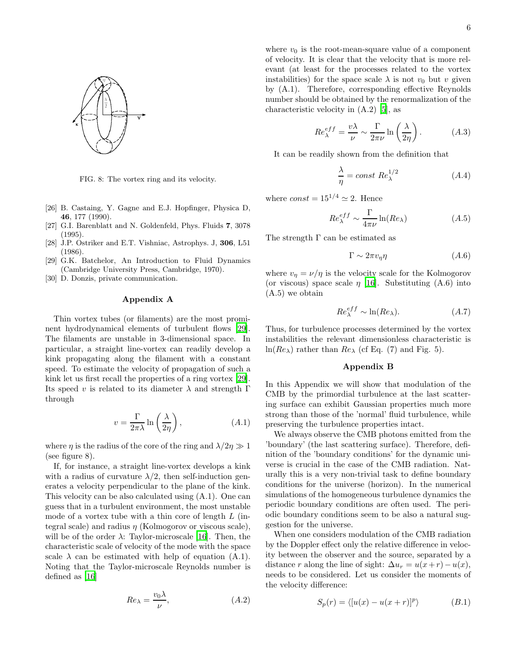

FIG. 8: The vortex ring and its velocity.

- <span id="page-5-0"></span>[26] B. Castaing, Y. Gagne and E.J. Hopfinger, Physica D, 46, 177 (1990).
- <span id="page-5-1"></span>[27] G.I. Barenblatt and N. Goldenfeld, Phys. Fluids 7, 3078 (1995).
- <span id="page-5-2"></span>[28] J.P. Ostriker and E.T. Vishniac, Astrophys. J, 306, L51 (1986).
- <span id="page-5-3"></span>[29] G.K. Batchelor, An Introduction to Fluid Dynamics (Cambridge University Press, Cambridge, 1970).
- <span id="page-5-4"></span>[30] D. Donzis, private communication.

### Appendix A

Thin vortex tubes (or filaments) are the most prominent hydrodynamical elements of turbulent flows [\[29\]](#page-5-3). The filaments are unstable in 3-dimensional space. In particular, a straight line-vortex can readily develop a kink propagating along the filament with a constant speed. To estimate the velocity of propagation of such a kink let us first recall the properties of a ring vortex [\[29\]](#page-5-3). Its speed v is related to its diameter  $\lambda$  and strength  $\Gamma$ through

$$
v = \frac{\Gamma}{2\pi\lambda} \ln\left(\frac{\lambda}{2\eta}\right),\tag{A.1}
$$

where  $\eta$  is the radius of the core of the ring and  $\lambda/2\eta \gg 1$ (see figure 8).

If, for instance, a straight line-vortex develops a kink with a radius of curvature  $\lambda/2$ , then self-induction generates a velocity perpendicular to the plane of the kink. This velocity can be also calculated using (A.1). One can guess that in a turbulent environment, the most unstable mode of a vortex tube with a thin core of length  $L$  (integral scale) and radius  $\eta$  (Kolmogorov or viscous scale), will be of the order  $\lambda$ : Taylor-microscale [\[16](#page-4-9)]. Then, the characteristic scale of velocity of the mode with the space scale  $\lambda$  can be estimated with help of equation (A.1). Noting that the Taylor-microscale Reynolds number is defined as [\[16](#page-4-9)]

$$
Re_{\lambda} = \frac{v_0 \lambda}{\nu},\tag{A.2}
$$

where  $v_0$  is the root-mean-square value of a component of velocity. It is clear that the velocity that is more relevant (at least for the processes related to the vortex instabilities) for the space scale  $\lambda$  is not  $v_0$  but v given by (A.1). Therefore, corresponding effective Reynolds number should be obtained by the renormalization of the characteristic velocity in (A.2) [\[5\]](#page-4-4), as

$$
Re_{\lambda}^{eff} = \frac{v\lambda}{\nu} \sim \frac{\Gamma}{2\pi\nu} \ln\left(\frac{\lambda}{2\eta}\right). \tag{A.3}
$$

It can be readily shown from the definition that

$$
\frac{\lambda}{\eta} = const \ Re_{\lambda}^{1/2} \tag{A.4}
$$

where  $const = 15^{1/4} \simeq 2$ . Hence

$$
Re_{\lambda}^{eff} \sim \frac{\Gamma}{4\pi\nu} \ln(Re_{\lambda})
$$
 (A.5)

The strength  $\Gamma$  can be estimated as

$$
\Gamma \sim 2\pi v_{\eta} \eta \tag{A.6}
$$

where  $v_n = \nu/\eta$  is the velocity scale for the Kolmogorov (or viscous) space scale  $\eta$  [\[16](#page-4-9)]. Substituting (A.6) into (A.5) we obtain

$$
Re_{\lambda}^{eff} \sim \ln(Re_{\lambda}). \tag{A.7}
$$

Thus, for turbulence processes determined by the vortex instabilities the relevant dimensionless characteristic is ln( $Re_\lambda$ ) rather than  $Re_\lambda$  (cf Eq. (7) and Fig. 5).

### Appendix B

In this Appendix we will show that modulation of the CMB by the primordial turbulence at the last scattering surface can exhibit Gaussian properties much more strong than those of the 'normal' fluid turbulence, while preserving the turbulence properties intact.

We always observe the CMB photons emitted from the 'boundary' (the last scattering surface). Therefore, definition of the 'boundary conditions' for the dynamic universe is crucial in the case of the CMB radiation. Naturally this is a very non-trivial task to define boundary conditions for the universe (horizon). In the numerical simulations of the homogeneous turbulence dynamics the periodic boundary conditions are often used. The periodic boundary conditions seem to be also a natural suggestion for the universe.

When one considers modulation of the CMB radiation by the Doppler effect only the relative difference in velocity between the observer and the source, separated by a distance r along the line of sight:  $\Delta u_r = u(x+r) - u(x)$ , needs to be considered. Let us consider the moments of the velocity difference:

$$
S_p(r) = \langle [u(x) - u(x+r)]^p \rangle \tag{B.1}
$$